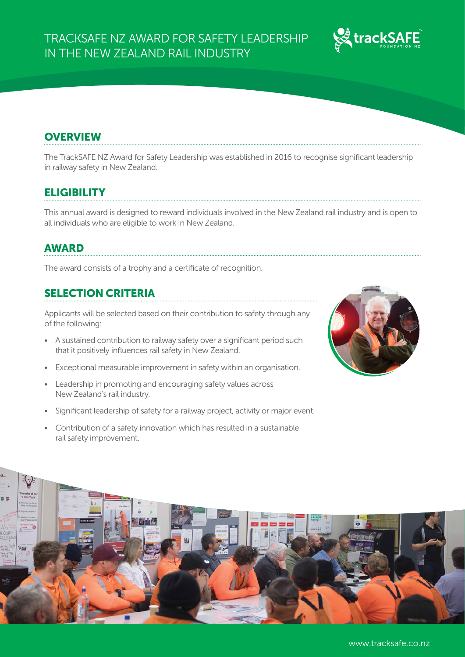

# **OVERVIEW**

The TrackSAFE NZ Award for Safety Leadership was established in 2016 to recognise significant leadership in railway safety in New Zealand.

### **ELIGIBILITY**

This annual award is designed to reward individuals involved in the New Zealand rail industry and is open to all individuals who are eligible to work in New Zealand.

#### AWARD

The award consists of a trophy and a certificate of recognition.

### SELECTION CRITERIA

Applicants will be selected based on their contribution to safety through any of the following:

- A sustained contribution to railway safety over a significant period such that it positively influences rail safety in New Zealand.
- Exceptional measurable improvement in safety within an organisation.
- Leadership in promoting and encouraging safety values across New Zealand's rail industry.
- Significant leadership of safety for a railway project, activity or major event.
- Contribution of a safety innovation which has resulted in a sustainable rail safety improvement.